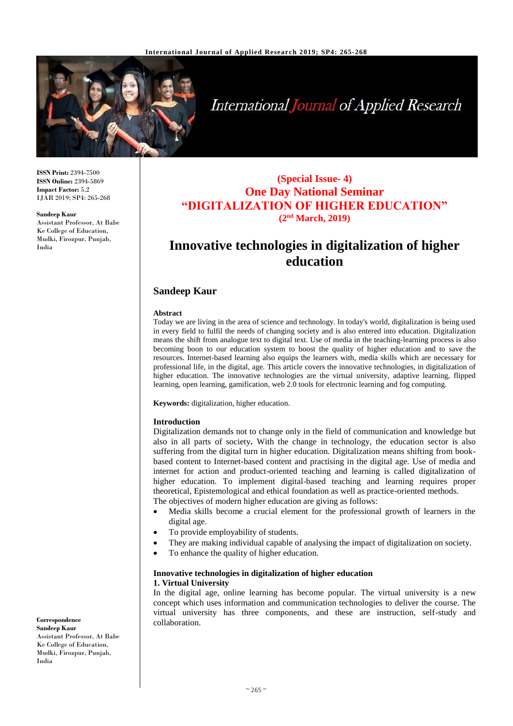

# **International Journal of Applied Research**

**ISSN Print:** 2394-7500 **ISSN Online:** 2394-5869 **Impact Factor:** 5.2 IJAR 2019; SP4: 265-268

#### **Sandeep Kaur**

Assistant Professor, At Babe Ke College of Education, Mudki, Firozpur, Punjab, India

## **(Special Issue- 4) One Day National Seminar "DIGITALIZATION OF HIGHER EDUCATION" (2nd March, 2019)**

## **Innovative technologies in digitalization of higher education**

#### **Sandeep Kaur**

#### **Abstract**

Today we are living in the area of science and technology. In today's world, digitalization is being used in every field to fulfil the needs of changing society and is also entered into education. Digitalization means the shift from analogue text to digital text. Use of media in the teaching-learning process is also becoming boon to our education system to boost the quality of higher education and to save the resources. Internet-based learning also equips the learners with, media skills which are necessary for professional life, in the digital, age. This article covers the innovative technologies, in digitalization of higher education. The innovative technologies are the virtual university, adaptive learning, flipped learning, open learning, gamification, web 2.0 tools for electronic learning and fog computing.

**Keywords:** digitalization, higher education.

#### **Introduction**

Digitalization demands not to change only in the field of communication and knowledge but also in all parts of society**.** With the change in technology, the education sector is also suffering from the digital turn in higher education. Digitalization means shifting from bookbased content to Internet-based content and practising in the digital age. Use of media and internet for action and product-oriented teaching and learning is called digitalization of higher education. To implement digital-based teaching and learning requires proper theoretical, Epistemological and ethical foundation as well as practice-oriented methods. The objectives of modern higher education are giving as follows:

- Media skills become a crucial element for the professional growth of learners in the digital age.
- To provide employability of students.
- They are making individual capable of analysing the impact of digitalization on society.
- To enhance the quality of higher education.

#### **Innovative technologies in digitalization of higher education 1. Virtual University**

In the digital age, online learning has become popular. The virtual university is a new concept which uses information and communication technologies to deliver the course. The virtual university has three components, and these are instruction, self-study and collaboration.

**Correspondence**

**Sandeep Kaur** Assistant Professor, At Babe Ke College of Education, Mudki, Firozpur, Punjab, India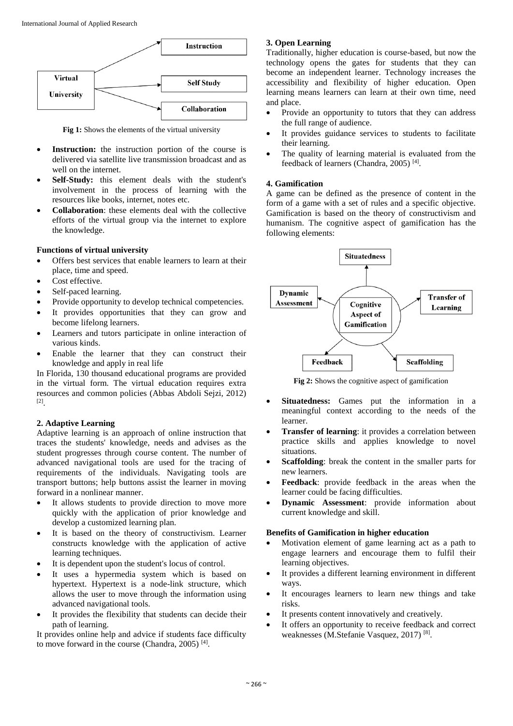

**Fig 1:** Shows the elements of the virtual university

- **Instruction:** the instruction portion of the course is delivered via satellite live transmission broadcast and as well on the internet.
- **Self-Study:** this element deals with the student's involvement in the process of learning with the resources like books, internet, notes etc.
- **Collaboration**: these elements deal with the collective efforts of the virtual group via the internet to explore the knowledge.

#### **Functions of virtual university**

- Offers best services that enable learners to learn at their place, time and speed.
- Cost effective.
- Self-paced learning.
- Provide opportunity to develop technical competencies.
- It provides opportunities that they can grow and become lifelong learners.
- Learners and tutors participate in online interaction of various kinds.
- Enable the learner that they can construct their knowledge and apply in real life

In Florida, 130 thousand educational programs are provided in the virtual form. The virtual education requires extra resources and common policies (Abbas Abdoli Sejzi, 2012) [2] .

#### **2. Adaptive Learning**

Adaptive learning is an approach of online instruction that traces the students' knowledge, needs and advises as the student progresses through course content. The number of advanced navigational tools are used for the tracing of requirements of the individuals. Navigating tools are transport buttons; help buttons assist the learner in moving forward in a nonlinear manner.

- It allows students to provide direction to move more quickly with the application of prior knowledge and develop a customized learning plan.
- It is based on the theory of constructivism. Learner constructs knowledge with the application of active learning techniques.
- It is dependent upon the student's locus of control.
- It uses a hypermedia system which is based on hypertext. Hypertext is a node-link structure, which allows the user to move through the information using advanced navigational tools.
- It provides the flexibility that students can decide their path of learning.

It provides online help and advice if students face difficulty to move forward in the course (Chandra, 2005)<sup>[4]</sup>.

### **3. Open Learning**

Traditionally, higher education is course-based, but now the technology opens the gates for students that they can become an independent learner. Technology increases the accessibility and flexibility of higher education. Open learning means learners can learn at their own time, need and place.

- Provide an opportunity to tutors that they can address the full range of audience.
- It provides guidance services to students to facilitate their learning.
- The quality of learning material is evaluated from the feedback of learners (Chandra, 2005)<sup>[4]</sup>.

#### **4. Gamification**

A game can be defined as the presence of content in the form of a game with a set of rules and a specific objective. Gamification is based on the theory of constructivism and humanism. The cognitive aspect of gamification has the following elements:



**Fig 2:** Shows the cognitive aspect of gamification

- **Situatedness:** Games put the information in a meaningful context according to the needs of the learner.
- **Transfer of learning**: it provides a correlation between practice skills and applies knowledge to novel situations.
- **Scaffolding**: break the content in the smaller parts for new learners.
- **Feedback**: provide feedback in the areas when the learner could be facing difficulties.
- **Dynamic Assessment**: provide information about current knowledge and skill.

#### **Benefits of Gamification in higher education**

- Motivation element of game learning act as a path to engage learners and encourage them to fulfil their learning objectives.
- It provides a different learning environment in different ways.
- It encourages learners to learn new things and take risks.
- It presents content innovatively and creatively.
- It offers an opportunity to receive feedback and correct weaknesses (M.Stefanie Vasquez, 2017)<sup>[8]</sup>.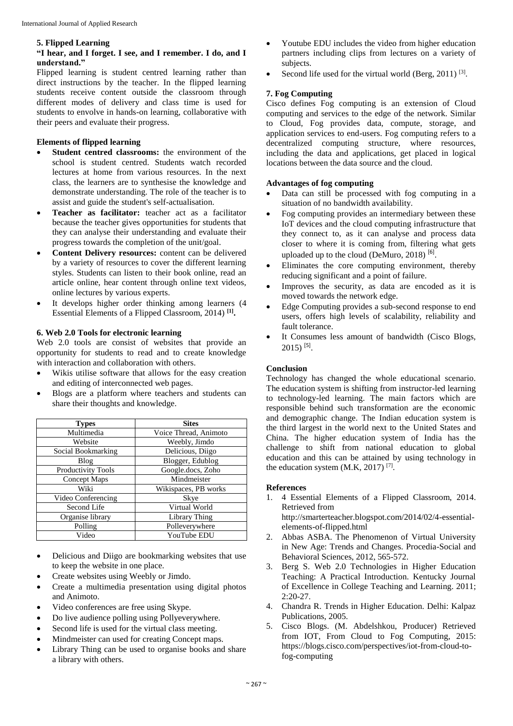#### **5. Flipped Learning**

#### **"I hear, and I forget. I see, and I remember. I do, and I understand."**

Flipped learning is student centred learning rather than direct instructions by the teacher. In the flipped learning students receive content outside the classroom through different modes of delivery and class time is used for students to envolve in hands-on learning, collaborative with their peers and evaluate their progress.

#### **Elements of flipped learning**

- **Student centred classrooms:** the environment of the school is student centred. Students watch recorded lectures at home from various resources. In the next class, the learners are to synthesise the knowledge and demonstrate understanding. The role of the teacher is to assist and guide the student's self-actualisation.
- **Teacher as facilitator:** teacher act as a facilitator because the teacher gives opportunities for students that they can analyse their understanding and evaluate their progress towards the completion of the unit/goal.
- **Content Delivery resources:** content can be delivered by a variety of resources to cover the different learning styles. Students can listen to their book online, read an article online, hear content through online text videos, online lectures by various experts.
- It develops higher order thinking among learners (4 Essential Elements of a Flipped Classroom, 2014) **[1] .**

### **6. Web 2.0 Tools for electronic learning**

Web 2.0 tools are consist of websites that provide an opportunity for students to read and to create knowledge with interaction and collaboration with others.

- Wikis utilise software that allows for the easy creation and editing of interconnected web pages.
- Blogs are a platform where teachers and students can share their thoughts and knowledge.

| <b>Types</b>       | <b>Sites</b>          |
|--------------------|-----------------------|
| Multimedia         | Voice Thread, Animoto |
| Website            | Weebly, Jimdo         |
| Social Bookmarking | Delicious, Diigo      |
| Blog               | Blogger, Edublog      |
| Productivity Tools | Google.docs, Zoho     |
| Concept Maps       | Mindmeister           |
| Wiki               | Wikispaces, PB works  |
| Video Conferencing | Skye                  |
| Second Life        | Virtual World         |
| Organise library   | Library Thing         |
| Polling            | Polleverywhere        |
| Video              | YouTube EDU           |

- Delicious and Diigo are bookmarking websites that use to keep the website in one place.
- Create websites using Weebly or Jimdo.
- Create a multimedia presentation using digital photos and Animoto.
- Video conferences are free using Skype.
- Do live audience polling using Pollyeverywhere.
- Second life is used for the virtual class meeting.
- Mindmeister can used for creating Concept maps.
- Library Thing can be used to organise books and share a library with others.
- Youtube EDU includes the video from higher education partners including clips from lectures on a variety of subjects.
- Second life used for the virtual world (Berg, 2011)  $^{[3]}$ .

### **7. Fog Computing**

Cisco defines Fog computing is an extension of Cloud computing and services to the edge of the network. Similar to Cloud, Fog provides data, compute, storage, and application services to end-users. Fog computing refers to a decentralized computing structure, where resources, including the data and applications, get placed in logical locations between the data source and the cloud.

#### **Advantages of fog computing**

- Data can still be processed with fog computing in a situation of no bandwidth availability.
- Fog computing provides an intermediary between these IoT devices and the cloud computing infrastructure that they connect to, as it can analyse and process data closer to where it is coming from, filtering what gets uploaded up to the cloud (DeMuro, 2018)<sup>[6]</sup>.
- Eliminates the core computing environment, thereby reducing significant and a point of failure.
- Improves the security, as data are encoded as it is moved towards the network edge.
- Edge Computing provides a sub-second response to end users, offers high levels of scalability, reliability and fault tolerance.
- It Consumes less amount of bandwidth (Cisco Blogs,  $2015$ )<sup>[5]</sup>.

## **Conclusion**

Technology has changed the whole educational scenario. The education system is shifting from instructor-led learning to technology-led learning. The main factors which are responsible behind such transformation are the economic and demographic change. The Indian education system is the third largest in the world next to the United States and China. The higher education system of India has the challenge to shift from national education to global education and this can be attained by using technology in the education system  $(M.K, 2017)$ <sup>[7]</sup>.

#### **References**

- 1. 4 Essential Elements of a Flipped Classroom, 2014. Retrieved from http://smarterteacher.blogspot.com/2014/02/4-essentialelements-of-flipped.html
- 2. Abbas ASBA. The Phenomenon of Virtual University in New Age: Trends and Changes. Procedia-Social and Behavioral Sciences, 2012, 565-572.
- 3. Berg S. Web 2.0 Technologies in Higher Education Teaching: A Practical Introduction. Kentucky Journal of Excellence in College Teaching and Learning. 2011; 2:20-27.
- 4. Chandra R. Trends in Higher Education. Delhi: Kalpaz Publications, 2005.
- 5. Cisco Blogs. (M. Abdelshkou, Producer) Retrieved from IOT, From Cloud to Fog Computing, 2015: https://blogs.cisco.com/perspectives/iot-from-cloud-tofog-computing